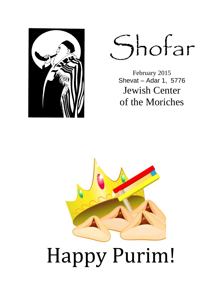

Shofar

February 2015 Shevat – Adar 1, 5776 Jewish Center of the Moriches



# Happy Purim!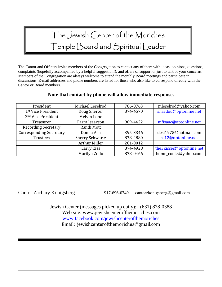# The Jewish Center of the Moriches Temple Board and Spiritual Leader

The Cantor and Officers invite members of the Congregation to contact any of them with ideas, opinions, questions, complaints (hopefully accompanied by a helpful suggestion!), and offers of support or just to talk of your concerns. Members of the Congregation are always welcome to attend the monthly Board meetings and participate in discussions. E-mail addresses and phone numbers are listed for those who also like to correspond directly with the Cantor or Board members.

#### **Note that contact by phone will allow immediate response.**

| President                      | Michael Leselrod       | 786-0763                         | mleselrod@yahoo.com      |  |
|--------------------------------|------------------------|----------------------------------|--------------------------|--|
| 1st Vice President             | Doug Sherter           | 874-4570                         | shardou@optonline.net    |  |
| 2 <sup>nd</sup> Vice President | Melvin Lobe            |                                  |                          |  |
| Treasurer                      | Farra Isaacson         | 909-4422                         | mfisaac@optonline.net    |  |
| <b>Recording Secretary</b>     | Randi Mott             |                                  |                          |  |
| <b>Corresponding Secretary</b> | Donna Ash              | desj1975@hotmail.com<br>395-3346 |                          |  |
| <b>Trustees</b>                | <b>Sherry Schwartz</b> | ss12@optonline.net<br>878-4880   |                          |  |
|                                | <b>Arthur Miller</b>   | 281-0012                         |                          |  |
|                                | Larry Kiss             | 874-4928                         | the3kisses@optonline.net |  |
|                                | Marilyn Zoilo          | 878-0466                         | home_cooks@yahoo.com     |  |

Cantor Zachary Konigsberg 917-696-0749 cantorzkonigsberg@gmail.com

Jewish Center (messages picked up daily): (631) 878-0388 Web site: www.jewishcenterofthemoriches.com www.facebook.com/jewishcenterofthemoriches Email: jewishcenterofthemoriches@gmail.com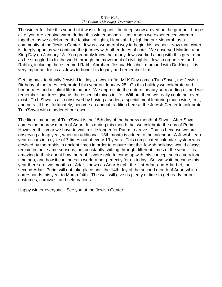The winter felt late this year, but it wasn't long until the deep snow arrived on the ground. I hope all of you are keeping warm during this winter season. Last month we experienced warmth together, as we celebrated the festival of lights, Hanukah, by lighting our Menorah as a community at the Jewish Center. It was a wonderful way to begin this season. Now that winter is deeply upon us we continue the journey with other dates of note. We observed Martin Luther King Day on January 18. You probably know that many Jews worked along with this great man, as he struggled to fix the world through the movement of civil rights. Jewish organizers and Rabbis, including the esteemed Rabbi Abraham Joshua Heschel, marched with Dr. King. It is very important for us as Jews to honor his legacy and remember him.

Getting back to ritually Jewish Holidays, a week after MLK Day comes Tu b'Shvat, the Jewish Birthday of the trees, celebrated this year on January 25. On this holiday we celebrate and honor trees and all plant life in nature. We appreciate the natural beauty surrounding us and we remember that trees give us the essential things in life. Without them we really could not even exist. Tu b'Shvat is also observed by having a seder, a special meal featuring much wine, fruit, and nuts. It has, fortunately, become an annual tradition here at the Jewish Center to celebrate Tu b'Shvat with a seder of our own.

The literal meaning of Tu b'Shvat is the 15th day of the hebrew month of Shvat. After Shvat comes the hebrew month of Adar. It is during this month that we celebrate the day of Purim. However, this year we have to wait a little longer for Purim to arrive. That is because we are observing a leap year, when an additional, 13th month is added to the calendar. A Jewish leap year occurs in a cycle of 7 times out of every 19 years. This complicated calendar system was devised by the rabbis in ancient times in order to ensure that the Jewish holidays would always remain in their same seasons, not constantly shifting through different times of the year. It is amazing to think about how the rabbis were able to come up with this concept such a very long time ago, and how it continues to work rather perfectly for us today. So, we wait, because this year there are two months of Adar, known as Adar Aleph, the first Adar, and Adar bet, the second Adar. Purim will not take place until the 14th day of the second month of Adar, which corresponds this year to March 24th. The wait will give us plenty of time to get ready for our costumes, carnivals, and celebrations.

Happy winter everyone. See you at the Jewish Center!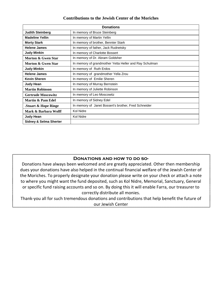#### **Contributions to the Jewish Center of the Moriches**

| <b>Donations</b>                  |                                                        |  |  |  |
|-----------------------------------|--------------------------------------------------------|--|--|--|
| <b>Judith Steinberg</b>           | In memory of Bruce Steinberg                           |  |  |  |
| <b>Madeline Yellin</b>            | In memory of Martin Yellin                             |  |  |  |
| <b>Morty Stark</b>                | In memory of brother, Bennter Stark                    |  |  |  |
| <b>Helene James</b>               | In memory of father, Jack Rudnetsky                    |  |  |  |
| <b>Judy Minkin</b>                | In memory of Charlotte Bossert                         |  |  |  |
| <b>Morton &amp; Gwen Star</b>     | In memory of Dr. Abram Goldsher                        |  |  |  |
| Morton & Gwen Star                | In memory of grandmother Yetta Heller and Ray Schulman |  |  |  |
| <b>Judy Minkin</b>                | In memory of Ruth Erdos                                |  |  |  |
| <b>Helene James</b>               | In memory of grandmother Yella Zrou                    |  |  |  |
| <b>Kevin Sheren</b>               | In memory of Emilie Sheren                             |  |  |  |
| <b>Judy Hean</b>                  | In memory of Murray Bernstein                          |  |  |  |
| <b>Martin Robinson</b>            | In memory of Juliette Robinson                         |  |  |  |
| <b>Gertrude Moscowitz</b>         | In memory of Leo Moscowitz                             |  |  |  |
| Martin & Pam Edel                 | In memory of Sidney Edel                               |  |  |  |
| Stuart & Hope Ringe               | In memory of Janet Bossert's brother, Fred Schneider   |  |  |  |
| Mark & Barbara Wolff              | Kol Nidre                                              |  |  |  |
| <b>Judy Hean</b>                  | Kol Nidre                                              |  |  |  |
| <b>Sidney &amp; Selma Sherter</b> |                                                        |  |  |  |

#### **Donations and how to do so-**

Donations have always been welcomed and are greatly appreciated. Other then membership dues your donations have also helped in the continual financial welfare of the Jewish Center of the Moriches. To properly designate your donation please write on your check or attach a note to where you might want the fund deposited, such as Kol Nidre, Memorial, Sanctuary, General or specific fund raising accounts and so on. By doing this it will enable Farra, our treasurer to correctly distribute all monies.

Thank-you all for such tremendous donations and contributions that help benefit the future of our Jewish Center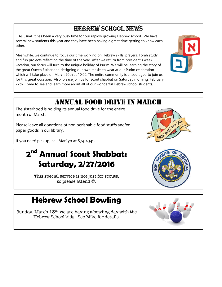#### HEBREW SCHOOL NEWS

 As usual, it has been a very busy time for our rapidly growing Hebrew school. We have several new students this year and they have been having a great time getting to know each other.

Meanwhile, we continue to focus our time working on Hebrew skills, prayers, Torah study, and fun projects reflecting the time of the year. After we return from president's week vacation, our focus will turn to the unique holiday of Purim. We will be learning the story of the great Queen Esther and designing our own masks to wear at our Purim celebration which will take place on March 20th at 10:00. The entire community is encouraged to join us for this great occasion. Also, please join us for scout shabbat on Saturday morning, February 27th. Come to see and learn more about all of our wonderful Hebrew school students.

### ANNUAL FOOD DRIVE IN MARCH

The sisterhood is holding its annual food drive for the entire month of March.

Please leave all donations of non-perishable food stuffs and/or paper goods in our library.

If you need pickup, call Marilyn at 874-4341.

## **2 nd Annual Scout Shabbat: Saturday, 2/27/2016**

This special service is not just for scouts, so please attend ☺**.** 

## **Hebrew School Bowling**

Sunday, March  $13<sup>th</sup>$ , we are having a bowling day with the Hebrew School kids. See Mike for details.







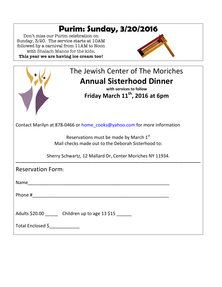# **Purim: Sunday, 3/20/2016**

Don't miss our Purim celebration on Sunday, 3/20. The service starts at 10AM followed by a carnival from 11AM to Noon with Shalach Manos for the kids**. This year we are having ice cream too!**



| The Jewish Center of The Moriches                                                                         |
|-----------------------------------------------------------------------------------------------------------|
| <b>Annual Sisterhood Dinner</b><br>with services to follow<br>Friday March 11 <sup>th</sup> , 2016 at 6pm |
| Contact Marilyn at 878-0466 or home_cooks@yahoo.com for more information                                  |
| Reservations must be made by March 1st<br>Mail checks made out to the Deborah Sisterhood to:              |
| Sherry Schwartz, 12 Mallard Dr, Center Moriches NY 11934.                                                 |
| <b>Reservation Form:</b>                                                                                  |
|                                                                                                           |
|                                                                                                           |
| Adults \$20.00 Children up to age 13 \$15                                                                 |
| Total Enclosed \$                                                                                         |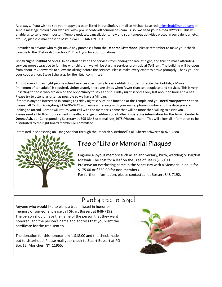As always, if you wish to see your happy occasion listed in our Shofar, e-mail to Michael Leselrod, mleselrod@yahoo.com or send a message through our website www.jewishcenterofthemoriches.com. Also, *we need your e-mail address*! This will enable us to send you important Temple updates, cancellations, new and spontaneous activities placed in our calendar, etc., etc. So, please e-mail these to Mike as well. THANK YOU !!

Reminder to anyone who might make any purchases from the **Deborah Sisterhood**, please remember to make your check payable to the "Deborah Sisterhood". Thank you for your donations.

**Friday Night Shabbat Services.** In an effort to keep the services from ending too late at night, and thus to make attending services more attractive to families with children, we will be starting services **promptly at 7:45 pm**. The building will be open from about 7:30 onwards to allow socializing before the services. Please make every effort to arrive promptly. Thank you for your cooperation. Steve Schwartz, for the ritual committee

Almost every Friday night people attend services specifically to say Kaddish. In order to recite the Kaddish, a Minyan (minimum of ten adults) is required. Unfortunately there are times when fewer than ten people attend services. This is very upsetting to those who are denied the opportunity to say Kaddish. Friday night services only last about an hour and a half. Please try to attend as often as possible so we have a Minyan.

If there is anyone interested in coming to Friday night service or a function at the Temple and you **need transportation** then please call Cantor Konigsberg 917-696-0749 and leave a message with your name, phone number and the date you are looking to attend. Cantor will return your call with the member's name that will be more then willing to assist you. Please send all birth announcements, deaths, change of address or all other **imperative information** for the Jewish Center to **Donna Ash**, our Corresponding Secretary at 395-3346 or e-mail desj1975@hotmail.com . This will allow all information to be distributed to the right board member or committee.

Interested in sponsoring an Oneg Shabbat through the Deborah Sisterhood? Call :Sherry Schwartz @ 878-4880



#### **Tree of Life or Memorial Plaques**

Engrave a joyous memory such as an anniversary, birth, wedding or Bar/Bat Mitzvah. The cost for a leaf on the Tree of Life is \$150.00. Preserve an everlasting name in the Sanctuary with a Memorial plaque for \$175.00 or \$350.00 for non-members. For further information, please contact Janet Bossert 848-7192.

#### Plant a tree in Israel

ֺ֖֚֝֬

I

Anyone who would like to plant a tree in Israel in honor or memory of someone, please call Stuart Bossert at 848-7192. The person should have the name of the person that they want honored, and the person's name and address that you want the certificate for the tree sent to.

The donation for this honorarium is \$18.00 and the check made out to sisterhood. Please mail your check to Stuart Bossert at PO Box 12, Moriches, NY 11955.

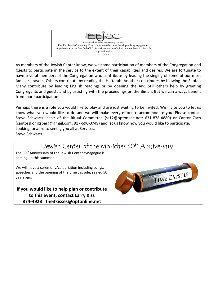

As members of the Jewish Center know, we welcome participation of members of the Congregation and guests to participate in the service to the extent of their capabilities and desires. We are fortunate to have several members of the Congregation who contribute by leading the singing of some of our most familiar prayers. Others contribute by reading the Haftarah. Another contributes by blowing the Shofar. Many contribute by leading English readings or by opening the Ark. Still others help by greeting Congregants and guests and by assisting with the proceedings on the Bimah. But we can always benefit from more participation.

Perhaps there is a role you would like to play and are just waiting to be invited. We invite you to let us know what you would like to do and we will make every effort to accommodate you. Please contact Steve Schwartz, chair of the Ritual Committee (ss12@optonline.net; 631-878-4880) or Cantor Zach (cantorzkonigsberg@gmail.com; 917-696-0749) and let us know how you would like to participate. Looking forward to seeing you all at Services. Steve Schwartz

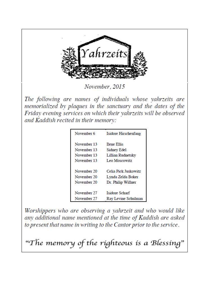

November, 2015

The following are names of individuals whose vahrzeits are memorialized by plaques in the sanctuary and the dates of the Friday evening services on which their yahrzeits will be observed and Kaddish recited in their memory:

| November 6  | Isidore Hirschenfang |
|-------------|----------------------|
| November 13 | <b>Ilene Ellis</b>   |
| November 13 | Sidney Edel          |
| November 13 | Lillian Rudnetsky    |
| November 13 | Leo Moscowitz        |
| November 20 | Celia Pick Juskowitz |
| November 20 | Lynda Zelda Boker    |
| November 20 | Dr. Philip Willner   |
| November 27 | Isidore Scharf       |
| November 27 | Ray Levine Schulman  |

Worshippers who are observing a yahrzeit and who would like any additional name mentioned at the time of Kaddish are asked to present that name in writing to the Cantor prior to the service.

"The memory of the righteous is a Blessing"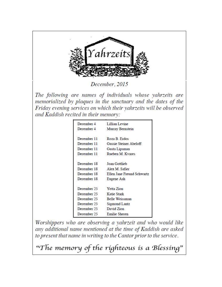

December, 2015

The following are names of individuals whose vahrzeits are memorialized by plaques in the sanctuary and the dates of the Friday evening services on which their yahrzeits will be observed and Kaddish recited in their memory:

| December 4  | Lillian Levine             |
|-------------|----------------------------|
| December 4  | Murray Bernstein           |
| December 11 | Roza B. Erdos              |
| December 11 | Gussie Steiner Abeloff     |
| December 11 | Gusta Lipsman              |
| December 11 | Rueben M. Kvares           |
| December 18 | Joan Gottlieb              |
| December 18 | Alex M. Safier             |
| December 18 | Ellen Jane Freund Schwartz |
| December 18 | Eugene Ash                 |
| December 25 | Yetta Zion                 |
| December 25 | Katie Stark                |
| December 25 | Belle Weissman             |
| December 25 | Sigmond Lantz              |
| December 25 | David Zion                 |
| December 25 | Emilie Sheren              |
|             |                            |

Worshippers who are observing a yahrzeit and who would like any additional name mentioned at the time of Kaddish are asked to present that name in writing to the Cantor prior to the service.

"The memory of the righteous is a Blessing"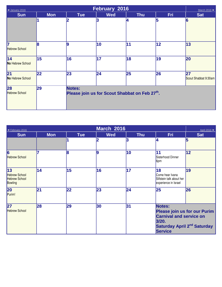| February 2016<br>◀ January 2016<br>March 2016 ▶ |            |                                                                |            |            |            |                            |  |
|-------------------------------------------------|------------|----------------------------------------------------------------|------------|------------|------------|----------------------------|--|
| <b>Sun</b>                                      | <b>Mon</b> | <b>Tue</b>                                                     | <b>Wed</b> | <b>Thu</b> | <b>Fri</b> | <b>Sat</b>                 |  |
|                                                 |            | 12                                                             | 3          | 14         | 5          | $\vert 6$                  |  |
| 7<br><b>Hebrew School</b>                       | 8          | 9                                                              | $\vert$ 10 | 11         | 12         | 13                         |  |
| $\overline{14}$<br>No Hebrew School             | 15         | 16                                                             | 17         | 18         | 19         | 20                         |  |
| $\overline{21}$<br>No Hebrew School             | 22         | 23                                                             | 24         | 25         | 26         | 27<br>Scout Shabbat 9:30am |  |
| 28<br><b>Hebrew School</b>                      | 29         | <b>Notes:</b><br>Please join us for Scout Shabbat on Feb 27th. |            |            |            |                            |  |

| ◀ February 2016                                               |            |            | <b>March 2016</b> |            |                                                                                                                                                       | April 2016 ▶ |
|---------------------------------------------------------------|------------|------------|-------------------|------------|-------------------------------------------------------------------------------------------------------------------------------------------------------|--------------|
| <b>Sun</b>                                                    | <b>Mon</b> | <b>Tue</b> | <b>Wed</b>        | <b>Thu</b> | Fri                                                                                                                                                   | <b>Sat</b>   |
|                                                               |            |            | $\overline{2}$    | 3          | 4                                                                                                                                                     | 5            |
| 6<br><b>Hebrew School</b>                                     |            | 8          | 9                 | 10         | 11<br>Sisterhood Dinner<br>6pm                                                                                                                        | $ 12\rangle$ |
| 13<br><b>Hebrew School</b><br><b>Hebrew School</b><br>Bowling | 14         | 15         | 16                | 17         | 18<br>Come hear Ivana<br>Slifstein talk about her<br>experience in Israel                                                                             | 19           |
| 20<br>Purim!                                                  | 21         | 22         | 23                | 24         | 25                                                                                                                                                    | 26           |
| 27<br><b>Hebrew School</b>                                    | 28         | 29         | 30                | 31         | Notes:<br><b>Please join us for our Purim</b><br><b>Carnival and service on</b><br>3/20.<br>Saturday April 2 <sup>nd</sup> Saturday<br><b>Service</b> |              |